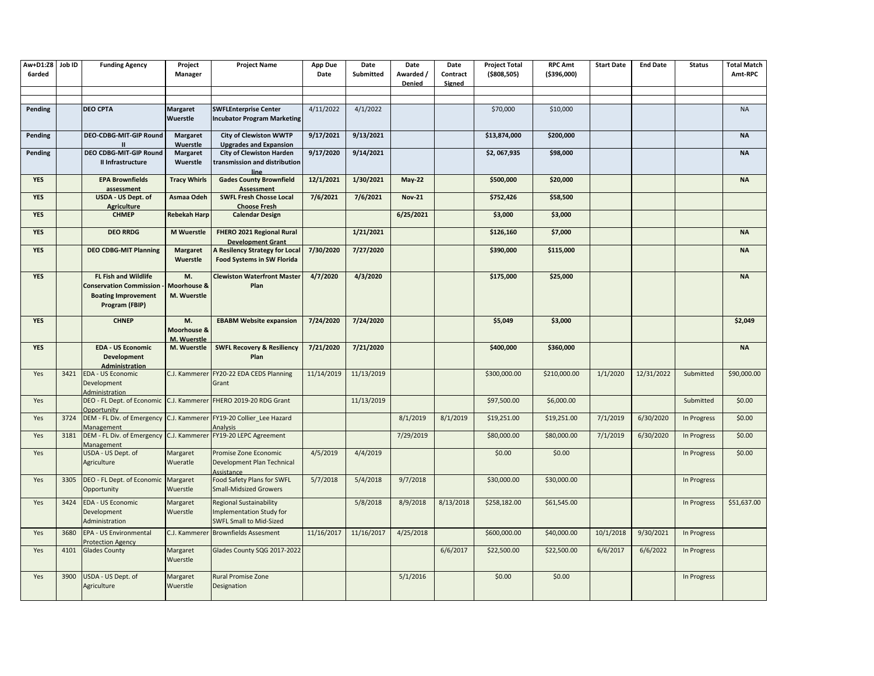| Aw+D1:Z8 Job ID<br>6arded |      | <b>Funding Agency</b>                                                                                         | Project<br>Manager               | <b>Project Name</b>                                                                                 | <b>App Due</b><br>Date | Date<br>Submitted | Date<br>Awarded /<br>Denied | Date<br>Contract<br>Signed | <b>Project Total</b><br>( \$808, 505) | <b>RPC Amt</b><br>( \$396,000) | <b>Start Date</b> | <b>End Date</b> | <b>Status</b> | <b>Total Match</b><br>Amt-RPC |
|---------------------------|------|---------------------------------------------------------------------------------------------------------------|----------------------------------|-----------------------------------------------------------------------------------------------------|------------------------|-------------------|-----------------------------|----------------------------|---------------------------------------|--------------------------------|-------------------|-----------------|---------------|-------------------------------|
|                           |      |                                                                                                               |                                  |                                                                                                     |                        |                   |                             |                            |                                       |                                |                   |                 |               |                               |
| Pending                   |      | <b>DEO CPTA</b>                                                                                               | <b>Margaret</b><br>Wuerstle      | <b>SWFLEnterprise Center</b><br><b>Incubator Program Marketing</b>                                  | 4/11/2022              | 4/1/2022          |                             |                            | \$70,000                              | \$10,000                       |                   |                 |               | <b>NA</b>                     |
| Pending                   |      | DEO-CDBG-MIT-GIP Round                                                                                        | <b>Margaret</b><br>Wuerstle      | <b>City of Clewiston WWTP</b><br><b>Upgrades and Expansion</b>                                      | 9/17/2021              | 9/13/2021         |                             |                            | \$13,874,000                          | \$200,000                      |                   |                 |               | <b>NA</b>                     |
| Pending                   |      | DEO CDBG-MIT-GIP Round<br>II Infrastructure                                                                   | <b>Margaret</b><br>Wuerstle      | <b>City of Clewiston Harden</b><br>ransmission and distribution<br>line                             | 9/17/2020              | 9/14/2021         |                             |                            | \$2,067,935                           | \$98,000                       |                   |                 |               | <b>NA</b>                     |
| <b>YES</b>                |      | <b>EPA Brownfields</b><br>assessment                                                                          | <b>Tracy Whirls</b>              | <b>Gades County Brownfield</b><br><b>Assessment</b>                                                 | 12/1/2021              | 1/30/2021         | <b>May-22</b>               |                            | \$500,000                             | \$20,000                       |                   |                 |               | <b>NA</b>                     |
| <b>YES</b>                |      | USDA - US Dept. of<br><b>Agriculture</b>                                                                      | Asmaa Odeh                       | <b>SWFL Fresh Chosse Local</b><br><b>Choose Fresh</b>                                               | 7/6/2021               | 7/6/2021          | <b>Nov-21</b>               |                            | \$752,426                             | \$58,500                       |                   |                 |               |                               |
| <b>YES</b>                |      | <b>CHMEP</b>                                                                                                  | <b>Rebekah Harp</b>              | <b>Calendar Design</b>                                                                              |                        |                   | 6/25/2021                   |                            | \$3,000                               | \$3,000                        |                   |                 |               |                               |
| <b>YES</b>                |      | <b>DEO RRDG</b>                                                                                               | <b>M</b> Wuerstle                | FHERO 2021 Regional Rural<br><b>Development Grant</b>                                               |                        | 1/21/2021         |                             |                            | \$126,160                             | \$7,000                        |                   |                 |               | <b>NA</b>                     |
| <b>YES</b>                |      | <b>DEO CDBG-MIT Planning</b>                                                                                  | <b>Margaret</b><br>Wuerstle      | A Resilency Strategy for Local<br><b>Food Systems in SW Florida</b>                                 | 7/30/2020              | 7/27/2020         |                             |                            | \$390,000                             | \$115,000                      |                   |                 |               | <b>NA</b>                     |
| <b>YES</b>                |      | <b>FL Fish and Wildlife</b><br><b>Conservation Commission</b><br><b>Boating Improvement</b><br>Program (FBIP) | M.<br>Moorhouse &<br>M. Wuerstle | <b>Clewiston Waterfront Master</b><br>Plan                                                          | 4/7/2020               | 4/3/2020          |                             |                            | \$175,000                             | \$25,000                       |                   |                 |               | <b>NA</b>                     |
| <b>YES</b>                |      | <b>CHNEP</b>                                                                                                  | M.<br>Moorhouse &<br>M. Wuerstle | <b>EBABM Website expansion</b>                                                                      | 7/24/2020              | 7/24/2020         |                             |                            | \$5,049                               | \$3,000                        |                   |                 |               | \$2,049                       |
| <b>YES</b>                |      | <b>EDA - US Economic</b><br><b>Development</b><br>Administration                                              | M. Wuerstle                      | <b>SWFL Recovery &amp; Resiliency</b><br>Plan                                                       | 7/21/2020              | 7/21/2020         |                             |                            | \$400,000                             | \$360,000                      |                   |                 |               | <b>NA</b>                     |
| Yes                       |      | 3421 EDA - US Economic<br>Development<br>Administration                                                       |                                  | C.J. Kammerer FY20-22 EDA CEDS Planning<br>Grant                                                    | 11/14/2019             | 11/13/2019        |                             |                            | \$300,000.00                          | \$210,000.00                   | 1/1/2020          | 12/31/2022      | Submitted     | \$90,000.00                   |
| Yes                       |      | DEO - FL Dept. of Economic C.J. Kammerer FHERO 2019-20 RDG Grant<br>Opportunity                               |                                  |                                                                                                     |                        | 11/13/2019        |                             |                            | \$97,500.00                           | \$6,000.00                     |                   |                 | Submitted     | \$0.00                        |
| Yes                       | 3724 | DEM - FL Div. of Emergency C.J. Kammerer<br>Management                                                        |                                  | FY19-20 Collier Lee Hazard<br>Analysis                                                              |                        |                   | 8/1/2019                    | 8/1/2019                   | \$19,251.00                           | \$19,251.00                    | 7/1/2019          | 6/30/2020       | In Progress   | \$0.00                        |
| Yes                       | 3181 | DEM - FL Div. of Emergency C.J. Kammerer<br>Management                                                        |                                  | FY19-20 LEPC Agreement                                                                              |                        |                   | 7/29/2019                   |                            | \$80,000.00                           | \$80,000.00                    | 7/1/2019          | 6/30/2020       | In Progress   | \$0.00                        |
| Yes                       |      | USDA - US Dept. of<br>Agriculture                                                                             | Margaret<br>Wueratle             | Promise Zone Economic<br>Development Plan Technical<br>Assistance                                   | 4/5/2019               | 4/4/2019          |                             |                            | \$0.00                                | \$0.00                         |                   |                 | In Progress   | \$0.00                        |
| Yes                       | 3305 | DEO - FL Dept. of Economic<br>Opportunity                                                                     | Margaret<br>Wuerstle             | Food Safety Plans for SWFL<br><b>Small-Midsized Growers</b>                                         | 5/7/2018               | 5/4/2018          | 9/7/2018                    |                            | \$30,000.00                           | \$30,000.00                    |                   |                 | In Progress   |                               |
| Yes                       |      | 3424 EDA - US Economic<br>Development<br>Administration                                                       | Margaret<br>Wuerstle             | <b>Regional Sustainability</b><br><b>Implementation Study for</b><br><b>SWFL Small to Mid-Sized</b> |                        | 5/8/2018          | 8/9/2018                    | 8/13/2018                  | \$258,182.00                          | \$61,545.00                    |                   |                 | In Progress   | \$51,637.00                   |
| Yes                       | 3680 | <b>EPA - US Environmental</b><br>Protection Agency                                                            |                                  | C.J. Kammerer Brownfields Assesment                                                                 | 11/16/2017             | 11/16/2017        | 4/25/2018                   |                            | \$600,000.00                          | \$40,000.00                    | 10/1/2018         | 9/30/2021       | In Progress   |                               |
| Yes                       | 4101 | <b>Glades County</b>                                                                                          | Margaret<br>Wuerstle             | Glades County SQG 2017-2022                                                                         |                        |                   |                             | 6/6/2017                   | \$22,500.00                           | \$22,500.00                    | 6/6/2017          | 6/6/2022        | In Progress   |                               |
| Yes                       | 3900 | USDA - US Dept. of<br>Agriculture                                                                             | Margaret<br>Wuerstle             | <b>Rural Promise Zone</b><br>Designation                                                            |                        |                   | 5/1/2016                    |                            | \$0.00                                | \$0.00                         |                   |                 | In Progress   |                               |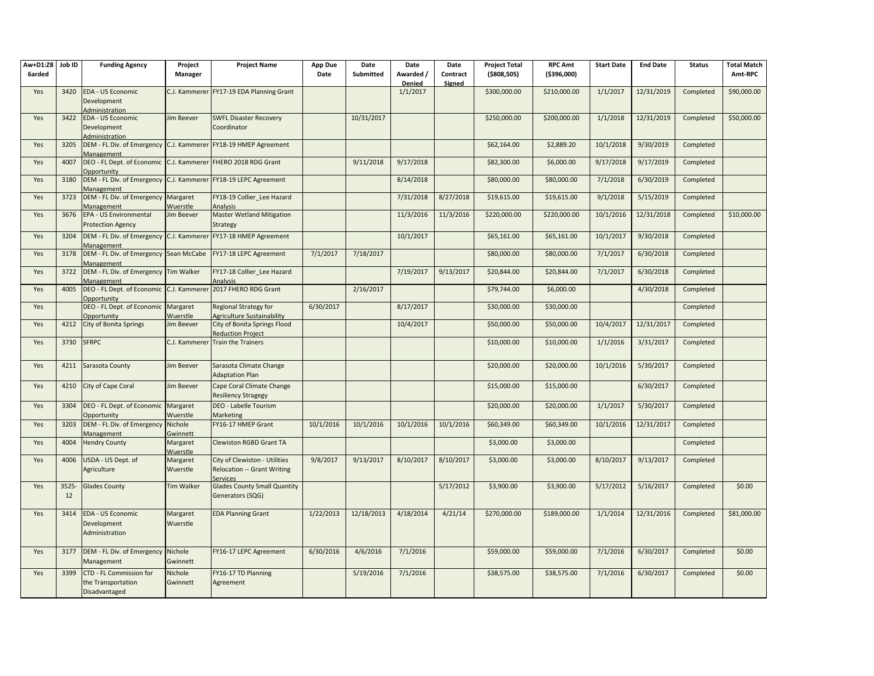| Aw+D1:Z8<br><b>6arded</b> | Job ID      | <b>Funding Agency</b>                                                                | Project<br>Manager   | <b>Project Name</b>                                                                    | <b>App Due</b><br>Date | Date<br>Submitted | Date<br>Awarded / | Date<br>Contract | <b>Project Total</b><br>( \$808, 505) | <b>RPC Amt</b><br>( \$396,000] | <b>Start Date</b> | <b>End Date</b> | <b>Status</b> | <b>Total Match</b><br>Amt-RPC |
|---------------------------|-------------|--------------------------------------------------------------------------------------|----------------------|----------------------------------------------------------------------------------------|------------------------|-------------------|-------------------|------------------|---------------------------------------|--------------------------------|-------------------|-----------------|---------------|-------------------------------|
|                           |             |                                                                                      |                      |                                                                                        |                        |                   | Denied            | Signed           |                                       |                                |                   |                 |               |                               |
| Yes                       | 3420        | EDA - US Economic<br>Development<br>Administration                                   |                      | C.J. Kammerer FY17-19 EDA Planning Grant                                               |                        |                   | 1/1/2017          |                  | \$300,000.00                          | \$210,000.00                   | 1/1/2017          | 12/31/2019      | Completed     | \$90,000.00                   |
| Yes                       |             | 3422 EDA - US Economic<br>Development<br>Administration                              | Jim Beever           | <b>SWFL Disaster Recovery</b><br>Coordinator                                           |                        | 10/31/2017        |                   |                  | \$250,000.00                          | \$200,000.00                   | 1/1/2018          | 12/31/2019      | Completed     | \$50,000.00                   |
| Yes                       | 3205        | DEM - FL Div. of Emergency C.J. Kammerer FY18-19 HMEP Agreement<br>Management        |                      |                                                                                        |                        |                   |                   |                  | \$62,164.00                           | \$2,889.20                     | 10/1/2018         | 9/30/2019       | Completed     |                               |
| Yes                       | 4007        | DEO - FL Dept. of Economic<br>Opportunity                                            |                      | C.J. Kammerer FHERO 2018 RDG Grant                                                     |                        | 9/11/2018         | 9/17/2018         |                  | \$82,300.00                           | \$6,000.00                     | 9/17/2018         | 9/17/2019       | Completed     |                               |
| Yes                       | 3180        | DEM - FL Div. of Emergency C.J. Kammerer FY18-19 LEPC Agreement<br><b>Management</b> |                      |                                                                                        |                        |                   | 8/14/2018         |                  | \$80,000.00                           | \$80,000.00                    | 7/1/2018          | 6/30/2019       | Completed     |                               |
| Yes                       | 3723        | DEM - FL Div. of Emergency<br>Management                                             | Margaret<br>Wuerstle | FY18-19 Collier Lee Hazard<br>Analysis                                                 |                        |                   | 7/31/2018         | 8/27/2018        | \$19,615.00                           | \$19,615.00                    | 9/1/2018          | 5/15/2019       | Completed     |                               |
| Yes                       | 3676        | EPA - US Environmental<br><b>Protection Agency</b>                                   | Jim Beever           | <b>Master Wetland Mitigation</b><br><b>Strategy</b>                                    |                        |                   | 11/3/2016         | 11/3/2016        | \$220,000.00                          | \$220,000.00                   | 10/1/2016         | 12/31/2018      | Completed     | \$10,000.00                   |
| Yes                       | 3204        | DEM - FL Div. of Emergency<br>Management                                             | C.J. Kammerer        | FY17-18 HMEP Agreement                                                                 |                        |                   | 10/1/2017         |                  | \$65,161.00                           | \$65,161.00                    | 10/1/2017         | 9/30/2018       | Completed     |                               |
| Yes                       | 3178        | DEM - FL Div. of Emergency Sean McCabe FY17-18 LEPC Agreement<br>Management          |                      |                                                                                        | 7/1/2017               | 7/18/2017         |                   |                  | \$80,000.00                           | \$80,000.00                    | 7/1/2017          | 6/30/2018       | Completed     |                               |
| Yes                       | 3722        | DEM - FL Div. of Emergency<br>Management                                             | <b>Tim Walker</b>    | FY17-18 Collier Lee Hazard<br>Analysis                                                 |                        |                   | 7/19/2017         | 9/13/2017        | \$20,844.00                           | \$20,844.00                    | 7/1/2017          | 6/30/2018       | Completed     |                               |
| Yes                       | 4005        | DEO - FL Dept. of Economic C.J. Kammerer<br>Opportunity                              |                      | 2017 FHERO RDG Grant                                                                   |                        | 2/16/2017         |                   |                  | \$79,744.00                           | \$6,000.00                     |                   | 4/30/2018       | Completed     |                               |
| Yes                       |             | DEO - FL Dept. of Economic<br>Opportunity                                            | Margaret<br>Wuerstle | Regional Strategy for<br>Agriculture Sustainability                                    | 6/30/2017              |                   | 8/17/2017         |                  | \$30,000.00                           | \$30,000.00                    |                   |                 | Completed     |                               |
| Yes                       | 4212        | City of Bonita Springs                                                               | Jim Beever           | City of Bonita Springs Flood<br><b>Reduction Project</b>                               |                        |                   | 10/4/2017         |                  | \$50,000.00                           | \$50,000.00                    | 10/4/2017         | 12/31/2017      | Completed     |                               |
| Yes                       | 3730        | <b>SFRPC</b>                                                                         | C.J. Kammerer        | <b>Train the Trainers</b>                                                              |                        |                   |                   |                  | \$10,000.00                           | \$10,000.00                    | 1/1/2016          | 3/31/2017       | Completed     |                               |
| Yes                       | 4211        | Sarasota County                                                                      | Jim Beever           | Sarasota Climate Change<br><b>Adaptation Plan</b>                                      |                        |                   |                   |                  | \$20,000.00                           | \$20,000.00                    | 10/1/2016         | 5/30/2017       | Completed     |                               |
| Yes                       |             | 4210 City of Cape Coral                                                              | Jim Beever           | Cape Coral Climate Change<br><b>Resiliency Stragegy</b>                                |                        |                   |                   |                  | \$15,000.00                           | \$15,000.00                    |                   | 6/30/2017       | Completed     |                               |
| Yes                       | 3304        | DEO - FL Dept. of Economic<br>Opportunity                                            | Margaret<br>Wuerstle | DEO - Labelle Tourism<br>Marketing                                                     |                        |                   |                   |                  | \$20,000.00                           | \$20,000.00                    | 1/1/2017          | 5/30/2017       | Completed     |                               |
| Yes                       | 3203        | DEM - FL Div. of Emergency<br>Management                                             | Nichole<br>Gwinnett  | FY16-17 HMEP Grant                                                                     | 10/1/2016              | 10/1/2016         | 10/1/2016         | 10/1/2016        | \$60,349.00                           | \$60,349.00                    | 10/1/2016         | 12/31/2017      | Completed     |                               |
| Yes                       | 4004        | <b>Hendry County</b>                                                                 | Margaret<br>Wuerstle | <b>Clewiston RGBD Grant TA</b>                                                         |                        |                   |                   |                  | \$3,000.00                            | \$3,000.00                     |                   |                 | Completed     |                               |
| Yes                       | 4006        | USDA - US Dept. of<br>Agriculture                                                    | Margaret<br>Wuerstle | City of Clewiston - Utilities<br><b>Relocation -- Grant Writing</b><br><b>Services</b> | 9/8/2017               | 9/13/2017         | 8/10/2017         | 8/10/2017        | \$3,000.00                            | \$3,000.00                     | 8/10/2017         | 9/13/2017       | Completed     |                               |
| Yes                       | 3525-<br>12 | <b>Glades County</b>                                                                 | <b>Tim Walker</b>    | <b>Glades County Small Quantity</b><br>Generators (SQG)                                |                        |                   |                   | 5/17/2012        | \$3,900.00                            | \$3,900.00                     | 5/17/2012         | 5/16/2017       | Completed     | \$0.00                        |
| Yes                       |             | 3414 EDA - US Economic<br>Development<br>Administration                              | Margaret<br>Wuerstle | <b>EDA Planning Grant</b>                                                              | 1/22/2013              | 12/18/2013        | 4/18/2014         | 4/21/14          | \$270,000.00                          | \$189,000.00                   | 1/1/2014          | 12/31/2016      | Completed     | \$81,000.00                   |
| Yes                       | 3177        | DEM - FL Div. of Emergency<br>Management                                             | Nichole<br>Gwinnett  | FY16-17 LEPC Agreement                                                                 | 6/30/2016              | 4/6/2016          | 7/1/2016          |                  | \$59,000.00                           | \$59,000.00                    | 7/1/2016          | 6/30/2017       | Completed     | \$0.00                        |
| Yes                       | 3399        | CTD - FL Commission for<br>the Transportation<br>Disadvantaged                       | Nichole<br>Gwinnett  | FY16-17 TD Planning<br>Agreement                                                       |                        | 5/19/2016         | 7/1/2016          |                  | \$38,575.00                           | \$38,575.00                    | 7/1/2016          | 6/30/2017       | Completed     | \$0.00                        |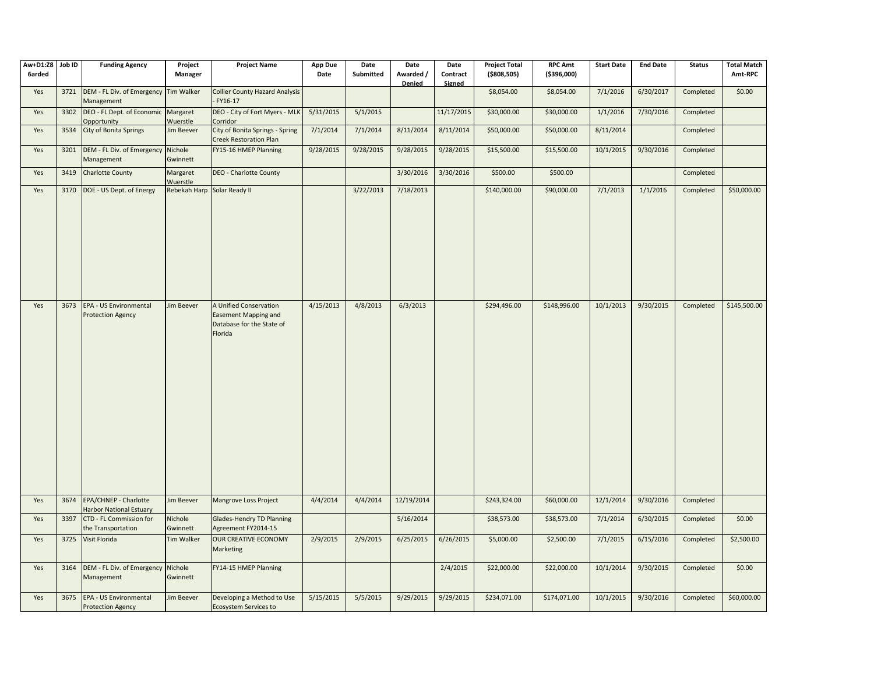| Aw+D1:Z8<br><b>6arded</b> | Job ID | <b>Funding Agency</b>                                   | Project<br>Manager          | <b>Project Name</b>                                                                           | App Due<br>Date | Date<br>Submitted | Date<br>Awarded /<br>Denied | Date<br>Contract<br>Signed | <b>Project Total</b><br>(\$808,505) | <b>RPC Amt</b><br>(\$396,000) | <b>Start Date</b> | <b>End Date</b> | <b>Status</b> | <b>Total Match</b><br>Amt-RPC |
|---------------------------|--------|---------------------------------------------------------|-----------------------------|-----------------------------------------------------------------------------------------------|-----------------|-------------------|-----------------------------|----------------------------|-------------------------------------|-------------------------------|-------------------|-----------------|---------------|-------------------------------|
| Yes                       | 3721   | DEM - FL Div. of Emergency Tim Walker<br>Management     |                             | <b>Collier County Hazard Analysis</b><br>FY16-17                                              |                 |                   |                             |                            | \$8,054.00                          | \$8,054.00                    | 7/1/2016          | 6/30/2017       | Completed     | \$0.00                        |
| Yes                       | 3302   | DEO - FL Dept. of Economic<br>Opportunity               | Margaret<br>Wuerstle        | DEO - City of Fort Myers - MLK<br>Corridor                                                    | 5/31/2015       | 5/1/2015          |                             | 11/17/2015                 | \$30,000.00                         | \$30,000.00                   | 1/1/2016          | 7/30/2016       | Completed     |                               |
| Yes                       | 3534   | City of Bonita Springs                                  | <b>Jim Beever</b>           | City of Bonita Springs - Spring<br><b>Creek Restoration Plan</b>                              | 7/1/2014        | 7/1/2014          | 8/11/2014                   | 8/11/2014                  | \$50,000.00                         | \$50,000.00                   | 8/11/2014         |                 | Completed     |                               |
| Yes                       | 3201   | DEM - FL Div. of Emergency<br>Management                | Nichole<br>Gwinnett         | FY15-16 HMEP Planning                                                                         | 9/28/2015       | 9/28/2015         | 9/28/2015                   | 9/28/2015                  | \$15,500.00                         | \$15,500.00                   | 10/1/2015         | 9/30/2016       | Completed     |                               |
| Yes                       | 3419   | <b>Charlotte County</b>                                 | Margaret<br>Wuerstle        | <b>DEO - Charlotte County</b>                                                                 |                 |                   | 3/30/2016                   | 3/30/2016                  | \$500.00                            | \$500.00                      |                   |                 | Completed     |                               |
| Yes                       | 3170   | DOE - US Dept. of Energy                                | Rebekah Harp Solar Ready II |                                                                                               |                 | 3/22/2013         | 7/18/2013                   |                            | \$140,000.00                        | \$90,000.00                   | 7/1/2013          | 1/1/2016        | Completed     | \$50,000.00                   |
| Yes                       | 3673   | EPA - US Environmental<br><b>Protection Agency</b>      | <b>Jim Beever</b>           | A Unified Conservation<br><b>Easement Mapping and</b><br>Database for the State of<br>Florida | 4/15/2013       | 4/8/2013          | 6/3/2013                    |                            | \$294,496.00                        | \$148,996.00                  | 10/1/2013         | 9/30/2015       | Completed     | \$145,500.00                  |
| Yes                       | 3674   | EPA/CHNEP - Charlotte<br><b>Harbor National Estuary</b> | <b>Jim Beever</b>           | Mangrove Loss Project                                                                         | 4/4/2014        | 4/4/2014          | 12/19/2014                  |                            | \$243,324.00                        | \$60,000.00                   | 12/1/2014         | 9/30/2016       | Completed     |                               |
| Yes                       | 3397   | CTD - FL Commission for<br>the Transportation           | Nichole<br>Gwinnett         | <b>Glades-Hendry TD Planning</b><br>Agreement FY2014-15                                       |                 |                   | 5/16/2014                   |                            | \$38,573.00                         | \$38,573.00                   | 7/1/2014          | 6/30/2015       | Completed     | \$0.00                        |
| Yes                       | 3725   | Visit Florida                                           | <b>Tim Walker</b>           | <b>OUR CREATIVE ECONOMY</b><br>Marketing                                                      | 2/9/2015        | 2/9/2015          | 6/25/2015                   | 6/26/2015                  | \$5,000.00                          | \$2,500.00                    | 7/1/2015          | 6/15/2016       | Completed     | \$2,500.00                    |
| Yes                       | 3164   | DEM - FL Div. of Emergency<br>Management                | Nichole<br>Gwinnett         | FY14-15 HMEP Planning                                                                         |                 |                   |                             | 2/4/2015                   | \$22,000.00                         | \$22,000.00                   | 10/1/2014         | 9/30/2015       | Completed     | \$0.00                        |
| Yes                       | 3675   | EPA - US Environmental<br>Protection Agency             | <b>Jim Beever</b>           | Developing a Method to Use<br>Ecosystem Services to                                           | 5/15/2015       | 5/5/2015          | 9/29/2015                   | 9/29/2015                  | \$234,071.00                        | \$174,071.00                  | 10/1/2015         | 9/30/2016       | Completed     | \$60,000.00                   |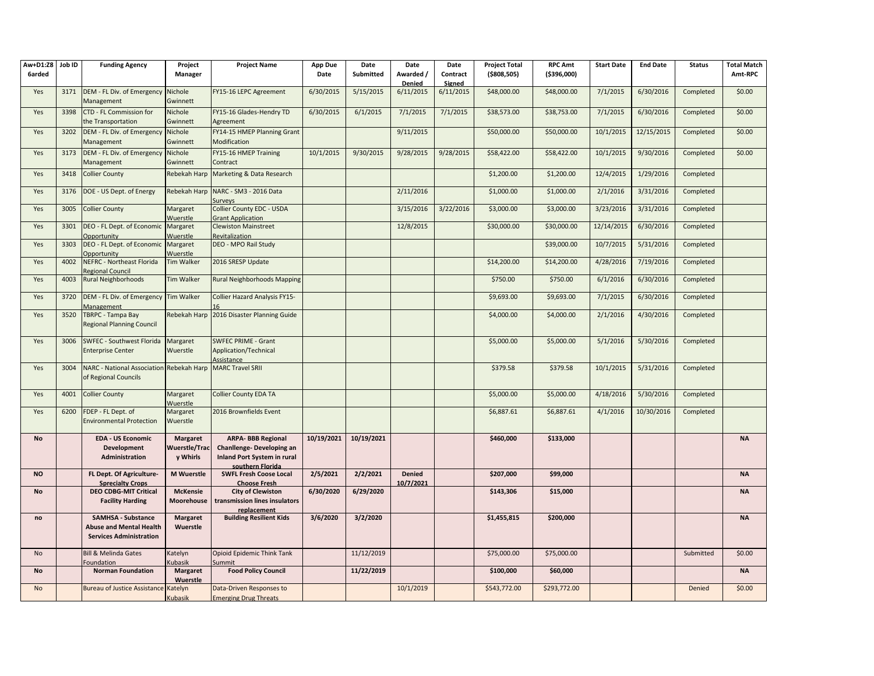| Aw+D1:Z8      | Job ID | <b>Funding Agency</b>                                 | Project                   | <b>Project Name</b>                                          | <b>App Due</b> | Date       | Date                       | Date               | <b>Project Total</b> | <b>RPC Amt</b> | <b>Start Date</b> | <b>End Date</b> | <b>Status</b> | <b>Total Match</b> |
|---------------|--------|-------------------------------------------------------|---------------------------|--------------------------------------------------------------|----------------|------------|----------------------------|--------------------|----------------------|----------------|-------------------|-----------------|---------------|--------------------|
| <b>6arded</b> |        |                                                       | Manager                   |                                                              | Date           | Submitted  | Awarded /<br>Denied        | Contract<br>Signed | ( \$808, 505)        | ( \$396,000)   |                   |                 |               | Amt-RPC            |
| Yes           | 3171   | DEM - FL Div. of Emergency                            | Nichole                   | FY15-16 LEPC Agreement                                       | 6/30/2015      | 5/15/2015  | 6/11/2015                  | 6/11/2015          | \$48,000.00          | \$48,000.00    | 7/1/2015          | 6/30/2016       | Completed     | \$0.00             |
|               |        | Management                                            | Gwinnett                  |                                                              |                |            |                            |                    |                      |                |                   |                 |               |                    |
| Yes           | 3398   | CTD - FL Commission for<br>the Transportation         | Nichole<br>Gwinnett       | FY15-16 Glades-Hendry TD<br>Agreement                        | 6/30/2015      | 6/1/2015   | 7/1/2015                   | 7/1/2015           | \$38,573.00          | \$38,753.00    | 7/1/2015          | 6/30/2016       | Completed     | \$0.00             |
| Yes           | 3202   | DEM - FL Div. of Emergency                            | Nichole                   | FY14-15 HMEP Planning Grant                                  |                |            | 9/11/2015                  |                    | \$50,000.00          | \$50,000.00    | 10/1/2015         | 12/15/2015      | Completed     | \$0.00             |
|               |        | Management                                            | Gwinnett                  | Modification                                                 |                |            |                            |                    |                      |                |                   |                 |               |                    |
| Yes           | 3173   | DEM - FL Div. of Emergency                            | Nichole                   | FY15-16 HMEP Training                                        | 10/1/2015      | 9/30/2015  | 9/28/2015                  | 9/28/2015          | \$58,422.00          | \$58,422.00    | 10/1/2015         | 9/30/2016       | Completed     | \$0.00             |
|               |        | Management                                            | Gwinnett                  | Contract                                                     |                |            |                            |                    |                      |                |                   |                 |               |                    |
| Yes           | 3418   | <b>Collier County</b>                                 | Rebekah Harp              | Marketing & Data Research                                    |                |            |                            |                    | \$1,200.00           | \$1,200.00     | 12/4/2015         | 1/29/2016       | Completed     |                    |
| Yes           | 3176   | DOE - US Dept. of Energy                              | Rebekah Harp              | NARC - SM3 - 2016 Data<br>Surveys                            |                |            | 2/11/2016                  |                    | \$1,000.00           | \$1,000.00     | 2/1/2016          | 3/31/2016       | Completed     |                    |
| Yes           | 3005   | <b>Collier County</b>                                 | Margaret<br>Wuerstle      | <b>Collier County EDC - USDA</b><br><b>Grant Application</b> |                |            | 3/15/2016                  | 3/22/2016          | \$3,000.00           | \$3,000.00     | 3/23/2016         | 3/31/2016       | Completed     |                    |
| Yes           | 3301   | DEO - FL Dept. of Economic                            | Margaret                  | <b>Clewiston Mainstreet</b>                                  |                |            | 12/8/2015                  |                    | \$30,000.00          | \$30,000.00    | 12/14/2015        | 6/30/2016       | Completed     |                    |
| Yes           | 3303   | Opportunity<br>DEO - FL Dept. of Economic             | Wuerstle<br>Margaret      | Revitalization<br>DEO - MPO Rail Study                       |                |            |                            |                    |                      | \$39,000.00    | 10/7/2015         | 5/31/2016       | Completed     |                    |
|               |        | Opportunity                                           | Wuerstle                  |                                                              |                |            |                            |                    |                      |                |                   |                 |               |                    |
| Yes           | 4002   | <b>NEFRC - Northeast Florida</b>                      | <b>Tim Walker</b>         | 2016 SRESP Update                                            |                |            |                            |                    | \$14,200.00          | \$14,200.00    | 4/28/2016         | 7/19/2016       | Completed     |                    |
| Yes           | 4003   | <b>Regional Council</b><br><b>Rural Neighborhoods</b> | Tim Walker                | <b>Rural Neighborhoods Mapping</b>                           |                |            |                            |                    | \$750.00             | \$750.00       | 6/1/2016          | 6/30/2016       | Completed     |                    |
|               |        |                                                       |                           |                                                              |                |            |                            |                    |                      |                |                   |                 |               |                    |
| Yes           | 3720   | DEM - FL Div. of Emergency Tim Walker<br>Management   |                           | <b>Collier Hazard Analysis FY15-</b>                         |                |            |                            |                    | \$9,693.00           | \$9,693.00     | 7/1/2015          | 6/30/2016       | Completed     |                    |
| Yes           | 3520   | TBRPC - Tampa Bay<br><b>Regional Planning Council</b> | Rebekah Harp              | 2016 Disaster Planning Guide                                 |                |            |                            |                    | \$4,000.00           | \$4,000.00     | 2/1/2016          | 4/30/2016       | Completed     |                    |
|               |        |                                                       |                           |                                                              |                |            |                            |                    |                      |                |                   |                 |               |                    |
| Yes           | 3006   | SWFEC - Southwest Florida                             | Margaret                  | <b>SWFEC PRIME - Grant</b>                                   |                |            |                            |                    | \$5,000.00           | \$5,000.00     | 5/1/2016          | 5/30/2016       | Completed     |                    |
|               |        | <b>Enterprise Center</b>                              | Wuerstle                  | Application/Technical                                        |                |            |                            |                    |                      |                |                   |                 |               |                    |
| Yes           | 3004   | NARC - National Association Rebekah Harp              |                           | Assistance<br><b>MARC Travel SRII</b>                        |                |            |                            |                    | \$379.58             | \$379.58       | 10/1/2015         | 5/31/2016       | Completed     |                    |
|               |        | of Regional Councils                                  |                           |                                                              |                |            |                            |                    |                      |                |                   |                 |               |                    |
| Yes           | 4001   | <b>Collier County</b>                                 | Margaret                  | <b>Collier County EDA TA</b>                                 |                |            |                            |                    | \$5,000.00           | \$5,000.00     | 4/18/2016         | 5/30/2016       | Completed     |                    |
|               |        |                                                       | Wuerstle                  |                                                              |                |            |                            |                    |                      |                |                   |                 |               |                    |
| Yes           | 6200   | FDEP - FL Dept. of<br><b>Environmental Protection</b> | Margaret<br>Wuerstle      | 2016 Brownfields Event                                       |                |            |                            |                    | \$6,887.61           | \$6,887.61     | 4/1/2016          | 10/30/2016      | Completed     |                    |
|               |        |                                                       |                           |                                                              |                |            |                            |                    |                      |                |                   |                 |               |                    |
| <b>No</b>     |        | <b>EDA - US Economic</b>                              | Margaret                  | <b>ARPA- BBB Regional</b>                                    | 10/19/2021     | 10/19/2021 |                            |                    | \$460,000            | \$133,000      |                   |                 |               | <b>NA</b>          |
|               |        | <b>Development</b>                                    | <b>Wuerstle/Trac</b>      | Chanllenge-Developing an                                     |                |            |                            |                    |                      |                |                   |                 |               |                    |
|               |        | Administration                                        | y Whirls                  | Inland Port System in rural<br>southern Florida              |                |            |                            |                    |                      |                |                   |                 |               |                    |
| <b>NO</b>     |        | FL Dept. Of Agriculture-<br><b>Sprecialty Crops</b>   | <b>M</b> Wuerstle         | <b>SWFL Fresh Coose Local</b><br><b>Choose Fresh</b>         | 2/5/2021       | 2/2/2021   | <b>Denied</b><br>10/7/2021 |                    | \$207,000            | \$99,000       |                   |                 |               | <b>NA</b>          |
| <b>No</b>     |        | <b>DEO CDBG-MIT Critical</b>                          | <b>McKensie</b>           | <b>City of Clewiston</b>                                     | 6/30/2020      | 6/29/2020  |                            |                    | \$143,306            | \$15,000       |                   |                 |               | <b>NA</b>          |
|               |        | <b>Facility Harding</b>                               | Moorehouse                | transmission lines insulators                                |                |            |                            |                    |                      |                |                   |                 |               |                    |
| no            |        | <b>SAMHSA - Substance</b>                             | <b>Margaret</b>           | replacement<br><b>Building Resilient Kids</b>                | 3/6/2020       | 3/2/2020   |                            |                    | \$1,455,815          | \$200,000      |                   |                 |               | <b>NA</b>          |
|               |        | <b>Abuse and Mental Health</b>                        | Wuerstle                  |                                                              |                |            |                            |                    |                      |                |                   |                 |               |                    |
|               |        | <b>Services Administration</b>                        |                           |                                                              |                |            |                            |                    |                      |                |                   |                 |               |                    |
| No            |        | <b>Bill &amp; Melinda Gates</b>                       | Katelyn                   | Opioid Epidemic Think Tank                                   |                | 11/12/2019 |                            |                    | \$75,000.00          | \$75,000.00    |                   |                 | Submitted     | \$0.00             |
| <b>No</b>     |        | oundation<br><b>Norman Foundation</b>                 | <b>ubasik</b><br>Margaret | Summit<br><b>Food Policy Council</b>                         |                | 11/22/2019 |                            |                    | \$100,000            | \$60,000       |                   |                 |               | <b>NA</b>          |
|               |        |                                                       | Wuerstle                  |                                                              |                |            |                            |                    |                      |                |                   |                 |               |                    |
| <b>No</b>     |        | <b>Bureau of Justice Assistance</b>                   | Katelyn                   | Data-Driven Responses to                                     |                |            | 10/1/2019                  |                    | \$543,772.00         | \$293,772.00   |                   |                 | Denied        | \$0.00             |
|               |        |                                                       | Kubasik                   | <b>Emerging Drug Threats</b>                                 |                |            |                            |                    |                      |                |                   |                 |               |                    |